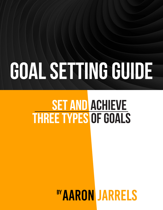# GOAL SETTING GUIDE

## **SET AND ACHIEVE THREE TYPES OF GOALS**

## **BY AARON JARRELS**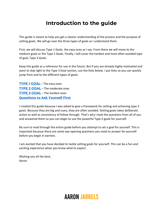## **Introduction to the guide**

This guide is meant to help you get a clearer understanding of the process and the purpose of setting goals. We will go over the three types of goals as I understand them.

First, we will discuss Type 1 Goals. the easy ones as I say. From there we will move to the medium goals or the Type 2 Goals. Finally, I will cover the hardest and most often avoided type of goal, Type 3 Goals.

Keep this guide as a reference for use in the future. But if you are already highly motivated and want to skip right to the Type 3 Goal section, use the links below. I put links so you can quickly jump from and to the different types of goals.

**[TYPE 1 GOAL](#page-2-0)** – The easy ones **[TYPE 2 GOAL](#page-3-0)** – The moderate ones **[TYPE 3 GOAL](#page-4-0)** – The hardest ones **[Questions to Ask Yourself](#page-6-0) First**

I created this guide because I was asked to give a framework for setting and achieving type 3 goals. Because they are big and scary, they are often avoided. Setting goals takes deliberate action as well as consistency of follow through. That's why I took the questions from all of you and answered them so you can begin to use the powerful Type 3 goals for yourself.

Be sure to read through the entire guide before you attempt to set a goal for yourself. This is important because there are some eye-opening questions you need to answer for yourself before you begin in earnest.

I am excited that you have decided to tackle setting goals for yourself. This can be a fun and exciting experience when you know what to expect.

Wishing you all the best, Aaron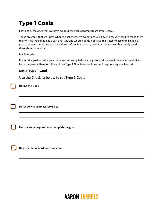## <span id="page-2-0"></span>**Type 1 Goals**

Easy goals, the ones that we have no doubt we can accomplish are Type 1 goals.

These are goals that we know when we set them, we do not actually have to try very hard to make them reality. This type of goal is a soft one. It is one where you do not have to stretch to accomplish. It is a goal to repeat something you have done before. It is an easy goal. It is one you set, but barely need to think about or work at.

## **For Example:**

If you set a goal to make your bed every morning before you go to work. While it may be more difficult for some people than for others, it is a Type 1 Goal because it does not require very much effort.

## **Set a Type 1 Goal**

Use the Checklist below to set Type 1 Goals

**Define the Goal:**

**Describe what success looks like:**

**List out steps required to accomplish the goal:**

**Describe the reward for completion:**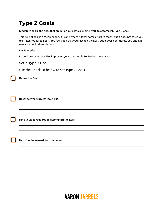## <span id="page-3-0"></span>**Type 2 Goals**

Moderate goals, the ones that are hit or miss, it takes some work to accomplish Type 2 Goals.

This type of goal is a Medium one. It is one where it takes some effort to reach, but it does not force you to stretch too far to get it. You feel good that you reached the goal, but it does not impress you enough to want to tell others about it.

### **For Example:**

It could be something like, improving your sales totals 10-20% year over year.

## **Set a Type 2 Goal**

Use the Checklist below to set Type 2 Goals

**Define the Goal:**

**Describe what success looks like:**

**List out steps required to accomplish the goal:**

**Describe the reward for completion:**

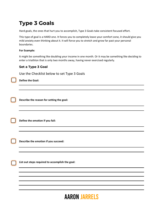## <span id="page-4-0"></span>**Type 3 Goals**

Hard goals, the ones that hurt you to accomplish, Type 3 Goals take consistent focused effort.

This type of goal is a HARD one. It forces you to completely leave your comfort zone, it should give you mild anxiety even thinking about it. It will force you to stretch and grow far past your personal boundaries.

### **For Example:**

It might be something like doubling your income in one month. Or it may be something like deciding to enter a triathlon that is only two months away, having never exercised regularly.

## **Set a Type 3 Goal**

Use the Checklist below to set Type 3 Goals

**Define the Goal:**

**Describe the reason for setting the goal:**

**Define the emotion if you fail:**

**Describe the emotion if you succeed:**

**List out steps required to accomplish the goal:**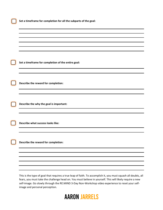| Set a timeframe for completion of the entire goal: |
|----------------------------------------------------|
|                                                    |
|                                                    |
| Describe the reward for completion:                |
|                                                    |
|                                                    |
|                                                    |
| Describe the why the goal is important:            |
|                                                    |
|                                                    |
| Describe what success looks like:                  |
|                                                    |
|                                                    |
| Describe the reward for completion:                |
|                                                    |
|                                                    |
|                                                    |
|                                                    |
|                                                    |

self-image. Go slowly through the RE:MIND 3-Day Non-Workshop video experience to reset your selfimage and personal perception.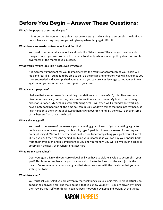## <span id="page-6-0"></span>**Before You Begin – Answer These Questions:**

#### **What's the purpose of setting this goal?**

It is important for you to have a clear reason for setting and wanting to accomplish goals. If you do not have a strong purpose, you will give up when things get difficult.

#### **What does a successful outcome look and feel like?**

You need to know what a win looks and feels like. Why, you ask? Because you must be able to recognize when you win. You need to be able to identify when you are getting close and create awareness of the moment you succeed.

#### **What would my life look like if I achieved my goals?**

It is extremely important for you to imagine what the results of accomplishing your goals will look and feel like. You need to be able to pull up the image and emotions you will have once you have succeeded and accomplished your goals so you can use it as leverage to get yourself going again when you experience a major upset in your quest.

#### **What is my superpower?**

I believe that a superpower is something that defines you. I have ADHD, it is often seen as a disorder or handicap, but for me, I choose to see it as a superpower. My brain runs in many directions at once. My desk is a sitting/standing desk. I will often walk around while working, I have a notebook near me all the time so I can quickly jot down things that pop into my head, so I can hang onto them without allowing them taking over my mind. By the way, I discover some of my best stuff on that scratch pad.

#### **Why is this my goal?**

You need to be aware of the reasons you are setting goals. I mean if you are setting a goal to double your income next year, that is a lofty type 3 goal, but it needs a reason for setting and accomplishing it. Without a heavy emotional reason for accomplishing your goal, you will most likely give up. If the "reason" behind doubling your income is so you can buy your spouse back from their employer, and it is important to you and your family, you will do whatever it takes to accomplish the goal, even when things get hard.

#### **What are my core values?**

Does your goal align with your core values? Will you have to violate a value to accomplish your goal? This is important because you may not subscribe to the idea that the ends justify the means. So, remember you must set goals that stay consistent with the ideal you that you are setting out to be.

#### **What drives me?**

You must ask yourself if you are driven by material things, values, or ideals. There is actually no good or bad answer here. The main point is that you know yourself. If you are driven by things, then reward yourself with things. Keep yourself motivated by going and looking at the things